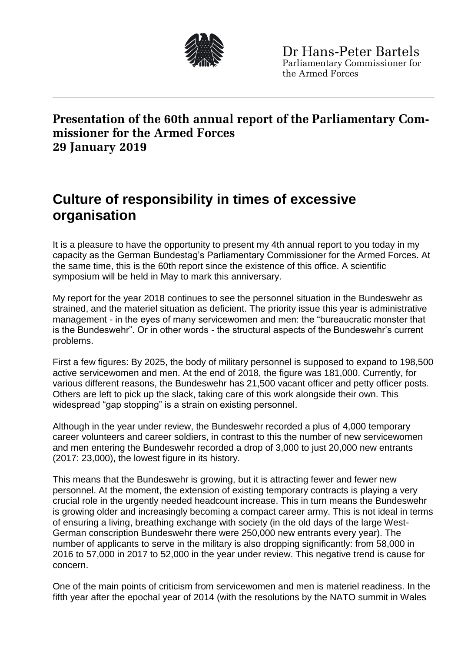

## **Presentation of the 60th annual report of the Parliamentary Commissioner for the Armed Forces 29 January 2019**

## **Culture of responsibility in times of excessive organisation**

It is a pleasure to have the opportunity to present my 4th annual report to you today in my capacity as the German Bundestag's Parliamentary Commissioner for the Armed Forces. At the same time, this is the 60th report since the existence of this office. A scientific symposium will be held in May to mark this anniversary.

My report for the year 2018 continues to see the personnel situation in the Bundeswehr as strained, and the materiel situation as deficient. The priority issue this year is administrative management - in the eyes of many servicewomen and men: the "bureaucratic monster that is the Bundeswehr". Or in other words - the structural aspects of the Bundeswehr's current problems.

First a few figures: By 2025, the body of military personnel is supposed to expand to 198,500 active servicewomen and men. At the end of 2018, the figure was 181,000. Currently, for various different reasons, the Bundeswehr has 21,500 vacant officer and petty officer posts. Others are left to pick up the slack, taking care of this work alongside their own. This widespread "gap stopping" is a strain on existing personnel.

Although in the year under review, the Bundeswehr recorded a plus of 4,000 temporary career volunteers and career soldiers, in contrast to this the number of new servicewomen and men entering the Bundeswehr recorded a drop of 3,000 to just 20,000 new entrants (2017: 23,000), the lowest figure in its history.

This means that the Bundeswehr is growing, but it is attracting fewer and fewer new personnel. At the moment, the extension of existing temporary contracts is playing a very crucial role in the urgently needed headcount increase. This in turn means the Bundeswehr is growing older and increasingly becoming a compact career army. This is not ideal in terms of ensuring a living, breathing exchange with society (in the old days of the large West-German conscription Bundeswehr there were 250,000 new entrants every year). The number of applicants to serve in the military is also dropping significantly: from 58,000 in 2016 to 57,000 in 2017 to 52,000 in the year under review. This negative trend is cause for concern.

One of the main points of criticism from servicewomen and men is materiel readiness. In the fifth year after the epochal year of 2014 (with the resolutions by the NATO summit in Wales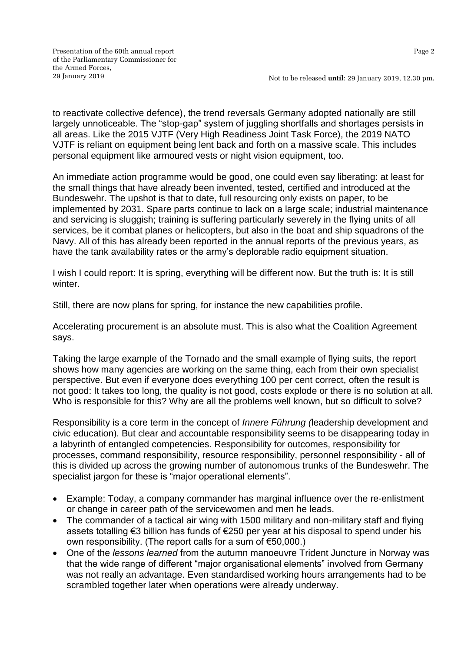Not to be released **until**: 29 January 2019, 12.30 pm.

to reactivate collective defence), the trend reversals Germany adopted nationally are still largely unnoticeable. The "stop-gap" system of juggling shortfalls and shortages persists in all areas. Like the 2015 VJTF (Very High Readiness Joint Task Force), the 2019 NATO VJTF is reliant on equipment being lent back and forth on a massive scale. This includes personal equipment like armoured vests or night vision equipment, too.

An immediate action programme would be good, one could even say liberating: at least for the small things that have already been invented, tested, certified and introduced at the Bundeswehr. The upshot is that to date, full resourcing only exists on paper, to be implemented by 2031. Spare parts continue to lack on a large scale; industrial maintenance and servicing is sluggish; training is suffering particularly severely in the flying units of all services, be it combat planes or helicopters, but also in the boat and ship squadrons of the Navy. All of this has already been reported in the annual reports of the previous years, as have the tank availability rates or the army's deplorable radio equipment situation.

I wish I could report: It is spring, everything will be different now. But the truth is: It is still winter.

Still, there are now plans for spring, for instance the new capabilities profile.

Accelerating procurement is an absolute must. This is also what the Coalition Agreement says.

Taking the large example of the Tornado and the small example of flying suits, the report shows how many agencies are working on the same thing, each from their own specialist perspective. But even if everyone does everything 100 per cent correct, often the result is not good: It takes too long, the quality is not good, costs explode or there is no solution at all. Who is responsible for this? Why are all the problems well known, but so difficult to solve?

Responsibility is a core term in the concept of *Innere Führung (*leadership development and civic education). But clear and accountable responsibility seems to be disappearing today in a labyrinth of entangled competencies. Responsibility for outcomes, responsibility for processes, command responsibility, resource responsibility, personnel responsibility - all of this is divided up across the growing number of autonomous trunks of the Bundeswehr. The specialist jargon for these is "major operational elements".

- Example: Today, a company commander has marginal influence over the re-enlistment or change in career path of the servicewomen and men he leads.
- The commander of a tactical air wing with 1500 military and non-military staff and flying assets totalling €3 billion has funds of €250 per year at his disposal to spend under his own responsibility. (The report calls for a sum of €50,000.)
- One of the *lessons learned* from the autumn manoeuvre Trident Juncture in Norway was that the wide range of different "major organisational elements" involved from Germany was not really an advantage. Even standardised working hours arrangements had to be scrambled together later when operations were already underway.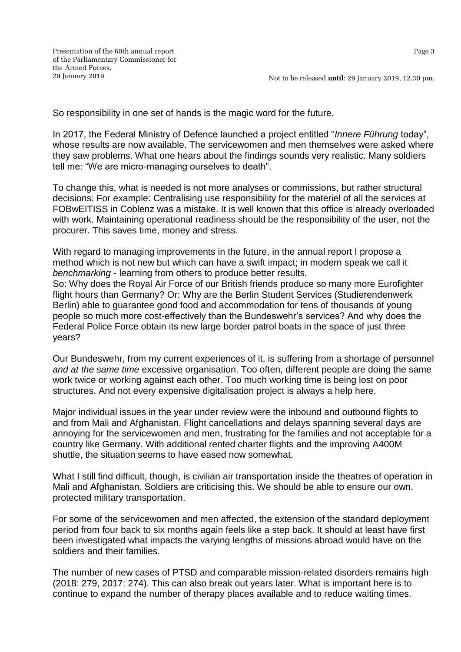So responsibility in one set of hands is the magic word for the future.

In 2017, the Federal Ministry of Defence launched a project entitled "*Innere Führung* today", whose results are now available. The servicewomen and men themselves were asked where they saw problems. What one hears about the findings sounds very realistic. Many soldiers tell me: "We are micro-managing ourselves to death".

To change this, what is needed is not more analyses or commissions, but rather structural decisions: For example: Centralising use responsibility for the materiel of all the services at FOBwEITISS in Coblenz was a mistake. It is well known that this office is already overloaded with work. Maintaining operational readiness should be the responsibility of the user, not the procurer. This saves time, money and stress.

With regard to managing improvements in the future, in the annual report I propose a method which is not new but which can have a swift impact; in modern speak we call it *benchmarking* - learning from others to produce better results.

So: Why does the Royal Air Force of our British friends produce so many more Eurofighter flight hours than Germany? Or: Why are the Berlin Student Services (Studierendenwerk Berlin) able to guarantee good food and accommodation for tens of thousands of young people so much more cost-effectively than the Bundeswehr's services? And why does the Federal Police Force obtain its new large border patrol boats in the space of just three years?

Our Bundeswehr, from my current experiences of it, is suffering from a shortage of personnel *and at the same time* excessive organisation. Too often, different people are doing the same work twice or working against each other. Too much working time is being lost on poor structures. And not every expensive digitalisation project is always a help here.

Major individual issues in the year under review were the inbound and outbound flights to and from Mali and Afghanistan. Flight cancellations and delays spanning several days are annoying for the servicewomen and men, frustrating for the families and not acceptable for a country like Germany. With additional rented charter flights and the improving A400M shuttle, the situation seems to have eased now somewhat.

What I still find difficult, though, is civilian air transportation inside the theatres of operation in Mali and Afghanistan. Soldiers are criticising this. We should be able to ensure our own, protected military transportation.

For some of the servicewomen and men affected, the extension of the standard deployment period from four back to six months again feels like a step back. It should at least have first been investigated what impacts the varying lengths of missions abroad would have on the soldiers and their families.

The number of new cases of PTSD and comparable mission-related disorders remains high (2018: 279, 2017: 274). This can also break out years later. What is important here is to continue to expand the number of therapy places available and to reduce waiting times.